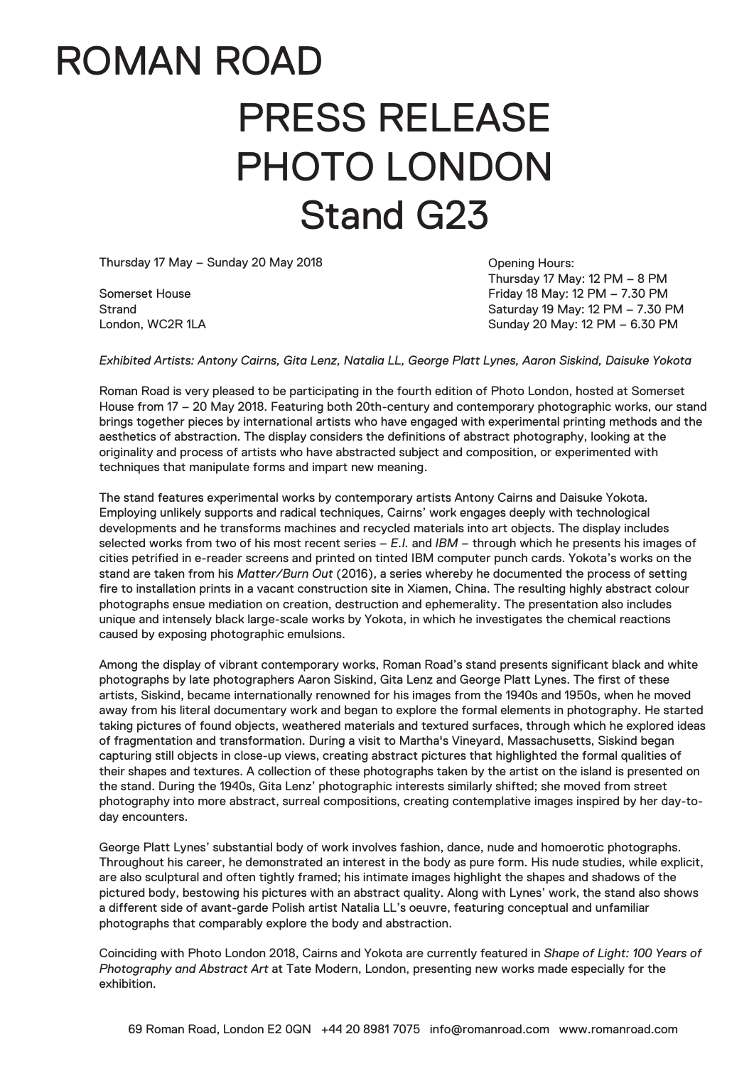# ROMAN ROAD PRESS RELEASE PHOTO LONDON Stand G23

Thursday 17 May – Sunday 20 May 2018

Somerset House Strand London, WC2R 1LA

Opening Hours: Thursday 17 May: 12 PM – 8 PM Friday 18 May: 12 PM – 7.30 PM Saturday 19 May: 12 PM – 7.30 PM Sunday 20 May: 12 PM – 6.30 PM

*Exhibited Artists: Antony Cairns, Gita Lenz, Natalia LL, George Platt Lynes, Aaron Siskind, Daisuke Yokota*

Roman Road is very pleased to be participating in the fourth edition of Photo London, hosted at Somerset House from 17 – 20 May 2018. Featuring both 20th-century and contemporary photographic works, our stand brings together pieces by international artists who have engaged with experimental printing methods and the aesthetics of abstraction. The display considers the definitions of abstract photography, looking at the originality and process of artists who have abstracted subject and composition, or experimented with techniques that manipulate forms and impart new meaning.

The stand features experimental works by contemporary artists Antony Cairns and Daisuke Yokota. Employing unlikely supports and radical techniques, Cairns' work engages deeply with technological developments and he transforms machines and recycled materials into art objects. The display includes selected works from two of his most recent series – *E.I.* and *IBM* – through which he presents his images of cities petrified in e-reader screens and printed on tinted IBM computer punch cards. Yokota's works on the stand are taken from his *Matter/Burn Out* (2016), a series whereby he documented the process of setting fire to installation prints in a vacant construction site in Xiamen, China. The resulting highly abstract colour photographs ensue mediation on creation, destruction and ephemerality. The presentation also includes unique and intensely black large-scale works by Yokota, in which he investigates the chemical reactions caused by exposing photographic emulsions.

Among the display of vibrant contemporary works, Roman Road's stand presents significant black and white photographs by late photographers Aaron Siskind, Gita Lenz and George Platt Lynes. The first of these artists, Siskind, became internationally renowned for his images from the 1940s and 1950s, when he moved away from his literal documentary work and began to explore the formal elements in photography. He started taking pictures of found objects, weathered materials and textured surfaces, through which he explored ideas of fragmentation and transformation. During a visit to Martha's Vineyard, Massachusetts, Siskind began capturing still objects in close-up views, creating abstract pictures that highlighted the formal qualities of their shapes and textures. A collection of these photographs taken by the artist on the island is presented on the stand. During the 1940s, Gita Lenz' photographic interests similarly shifted; she moved from street photography into more abstract, surreal compositions, creating contemplative images inspired by her day-today encounters.

George Platt Lynes' substantial body of work involves fashion, dance, nude and homoerotic photographs. Throughout his career, he demonstrated an interest in the body as pure form. His nude studies, while explicit, are also sculptural and often tightly framed; his intimate images highlight the shapes and shadows of the pictured body, bestowing his pictures with an abstract quality. Along with Lynes' work, the stand also shows a different side of avant-garde Polish artist Natalia LL's oeuvre, featuring conceptual and unfamiliar photographs that comparably explore the body and abstraction.

Coinciding with Photo London 2018, Cairns and Yokota are currently featured in *Shape of Light: 100 Years of Photography and Abstract Art* at Tate Modern, London, presenting new works made especially for the exhibition.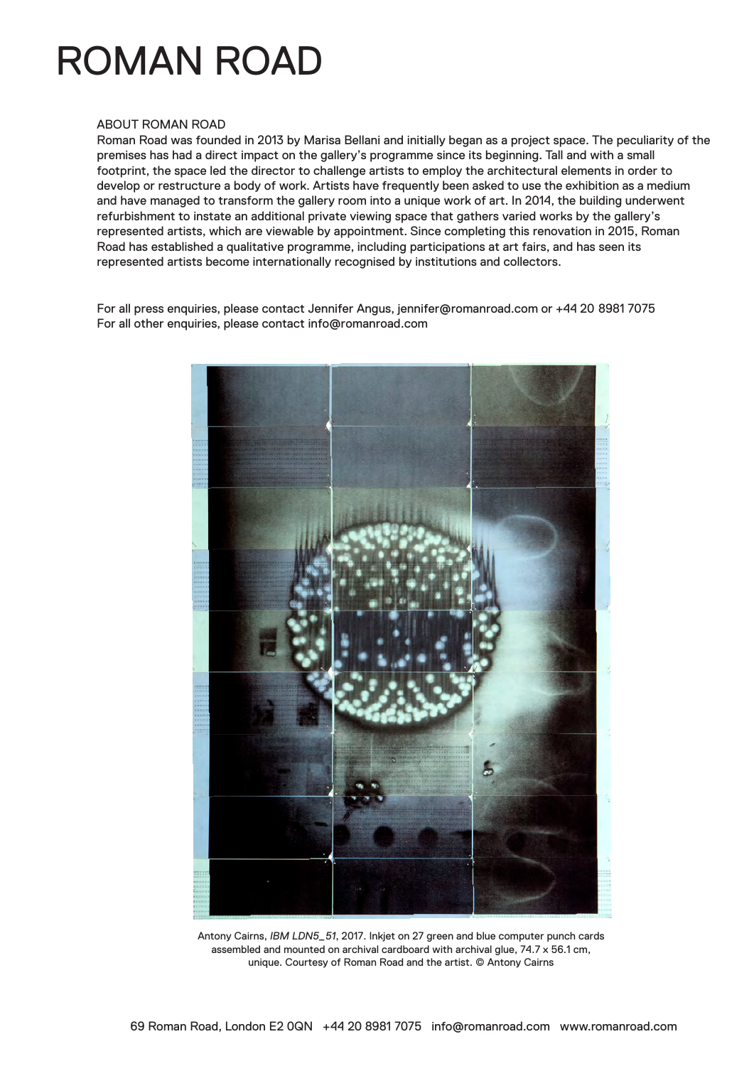# ROMAN ROAD

#### ABOUT ROMAN ROAD

Roman Road was founded in 2013 by Marisa Bellani and initially began as a project space. The peculiarity of the premises has had a direct impact on the gallery's programme since its beginning. Tall and with a small footprint, the space led the director to challenge artists to employ the architectural elements in order to develop or restructure a body of work. Artists have frequently been asked to use the exhibition as a medium and have managed to transform the gallery room into a unique work of art. In 2014, the building underwent refurbishment to instate an additional private viewing space that gathers varied works by the gallery's represented artists, which are viewable by appointment. Since completing this renovation in 2015, Roman Road has established a qualitative programme, including participations at art fairs, and has seen its represented artists become internationally recognised by institutions and collectors.

For all press enquiries, please contact Jennifer Angus, jennifer@romanroad.com or +44 20 8981 7075 For all other enquiries, please contact info@romanroad.com



Antony Cairns, *IBM LDN5\_51*, 2017. Inkjet on 27 green and blue computer punch cards assembled and mounted on archival cardboard with archival glue, 74.7 x 56.1 cm, unique. Courtesy of Roman Road and the artist. © Antony Cairns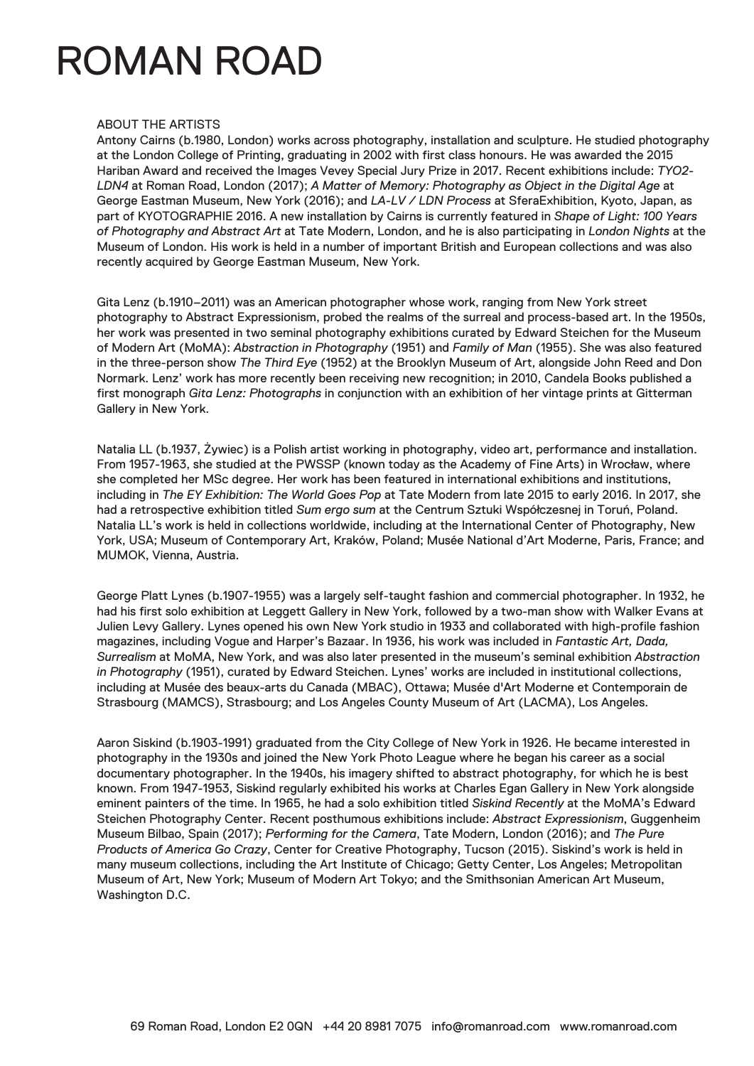### ROMAN ROAD

### ABOUT THE ARTISTS

Antony Cairns (b.1980, London) works across photography, installation and sculpture. He studied photography at the London College of Printing, graduating in 2002 with first class honours. He was awarded the 2015 Hariban Award and received the Images Vevey Special Jury Prize in 2017. Recent exhibitions include: *TYO2- LDN4* at Roman Road, London (2017); *A Matter of Memory: Photography as Object in the Digital Age* at George Eastman Museum, New York (2016); and *LA-LV / LDN Process* at SferaExhibition, Kyoto, Japan, as part of KYOTOGRAPHIE 2016. A new installation by Cairns is currently featured in *Shape of Light: 100 Years of Photography and Abstract Art* at Tate Modern, London, and he is also participating in *London Nights* at the Museum of London. His work is held in a number of important British and European collections and was also recently acquired by George Eastman Museum, New York.

Gita Lenz (b.1910–2011) was an American photographer whose work, ranging from New York street photography to Abstract Expressionism, probed the realms of the surreal and process-based art. In the 1950s, her work was presented in two seminal photography exhibitions curated by Edward Steichen for the Museum of Modern Art (MoMA): *Abstraction in Photography* (1951) and *Family of Man* (1955). She was also featured in the three-person show *The Third Eye* (1952) at the Brooklyn Museum of Art, alongside John Reed and Don Normark. Lenz' work has more recently been receiving new recognition; in 2010, Candela Books published a first monograph *Gita Lenz: Photographs* in conjunction with an exhibition of her vintage prints at Gitterman Gallery in New York.

Natalia LL (b.1937, Żywiec) is a Polish artist working in photography, video art, performance and installation. From 1957-1963, she studied at the PWSSP (known today as the Academy of Fine Arts) in Wrocław, where she completed her MSc degree. Her work has been featured in international exhibitions and institutions, including in *The EY Exhibition: The World Goes Pop* at Tate Modern from late 2015 to early 2016. In 2017, she had a retrospective exhibition titled *Sum ergo sum* at the Centrum Sztuki Współczesnej in Toruń, Poland. Natalia LL's work is held in collections worldwide, including at the International Center of Photography, New York, USA; Museum of Contemporary Art, Kraków, Poland; Musée National d'Art Moderne, Paris, France; and MUMOK, Vienna, Austria.

George Platt Lynes (b.1907-1955) was a largely self-taught fashion and commercial photographer. In 1932, he had his first solo exhibition at Leggett Gallery in New York, followed by a two-man show with Walker Evans at Julien Levy Gallery. Lynes opened his own New York studio in 1933 and collaborated with high-profile fashion magazines, including Vogue and Harper's Bazaar. In 1936, his work was included in *Fantastic Art, Dada, Surrealism* at MoMA, New York, and was also later presented in the museum's seminal exhibition *Abstraction in Photography* (1951), curated by Edward Steichen. Lynes' works are included in institutional collections, including at Musée des beaux-arts du Canada (MBAC), Ottawa; Musée d'Art Moderne et Contemporain de Strasbourg (MAMCS), Strasbourg; and Los Angeles County Museum of Art (LACMA), Los Angeles.

Aaron Siskind (b.1903-1991) graduated from the City College of New York in 1926. He became interested in photography in the 1930s and joined the New York Photo League where he began his career as a social documentary photographer. In the 1940s, his imagery shifted to abstract photography, for which he is best known. From 1947-1953, Siskind regularly exhibited his works at Charles Egan Gallery in New York alongside eminent painters of the time. In 1965, he had a solo exhibition titled *Siskind Recently* at the MoMA's Edward Steichen Photography Center. Recent posthumous exhibitions include: *Abstract Expressionism*, Guggenheim Museum Bilbao, Spain (2017); *Performing for the Camera*, Tate Modern, London (2016); and *The Pure Products of America Go Crazy*, Center for Creative Photography, Tucson (2015). Siskind's work is held in many museum collections, including the Art Institute of Chicago; Getty Center, Los Angeles; Metropolitan Museum of Art, New York; Museum of Modern Art Tokyo; and the Smithsonian American Art Museum, Washington D.C.